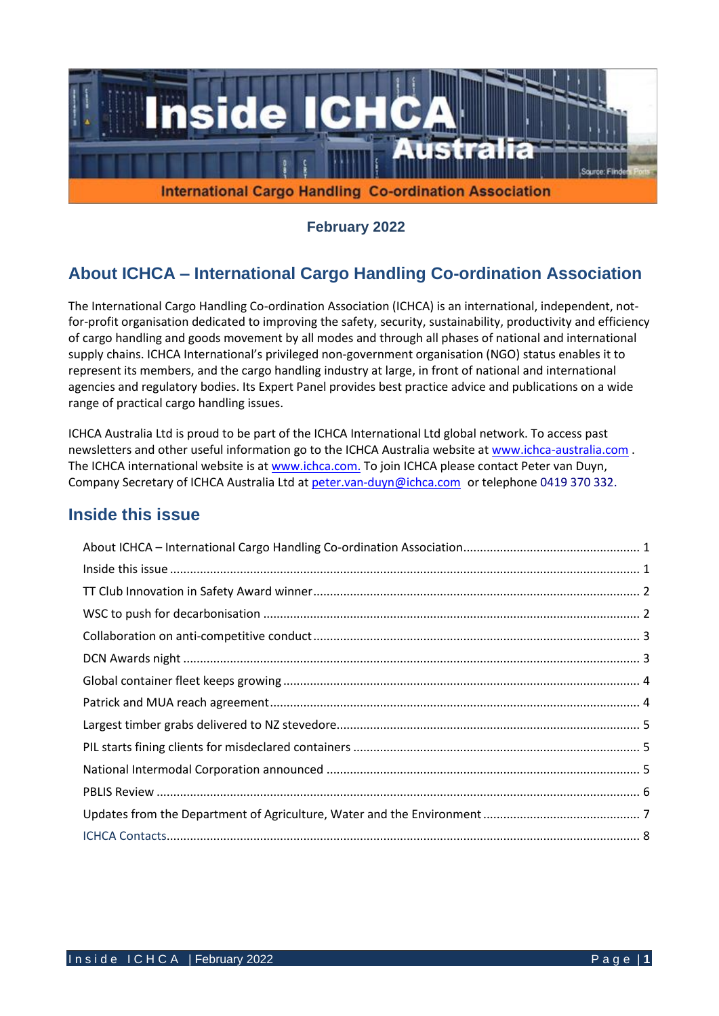

**February 2022**

# **About ICHCA – International Cargo Handling Co-ordination Association**

The International Cargo Handling Co-ordination Association (ICHCA) is an international, independent, notfor-profit organisation dedicated to improving the safety, security, sustainability, productivity and efficiency of cargo handling and goods movement by all modes and through all phases of national and international supply chains. ICHCA International's privileged non-government organisation (NGO) status enables it to represent its members, and the cargo handling industry at large, in front of national and international agencies and regulatory bodies. Its Expert Panel provides best practice advice and publications on a wide range of practical cargo handling issues.

ICHCA Australia Ltd is proud to be part of the ICHCA International Ltd global network. To access past newsletters and other useful information go to the ICHCA Australia website at [www.ichca-australia.com](http://www.ichca-australia.com/) . The ICHCA international website is at [www.ichca.com.](http://www.ichca.com/) To join ICHCA please contact Peter van Duyn, Company Secretary of ICHCA Australia Ltd at [peter.van-duyn@ichca.com](mailto:peter.vanduijn@deakin.edu.au) or telephone 0419 370 332.

### **Inside this issue**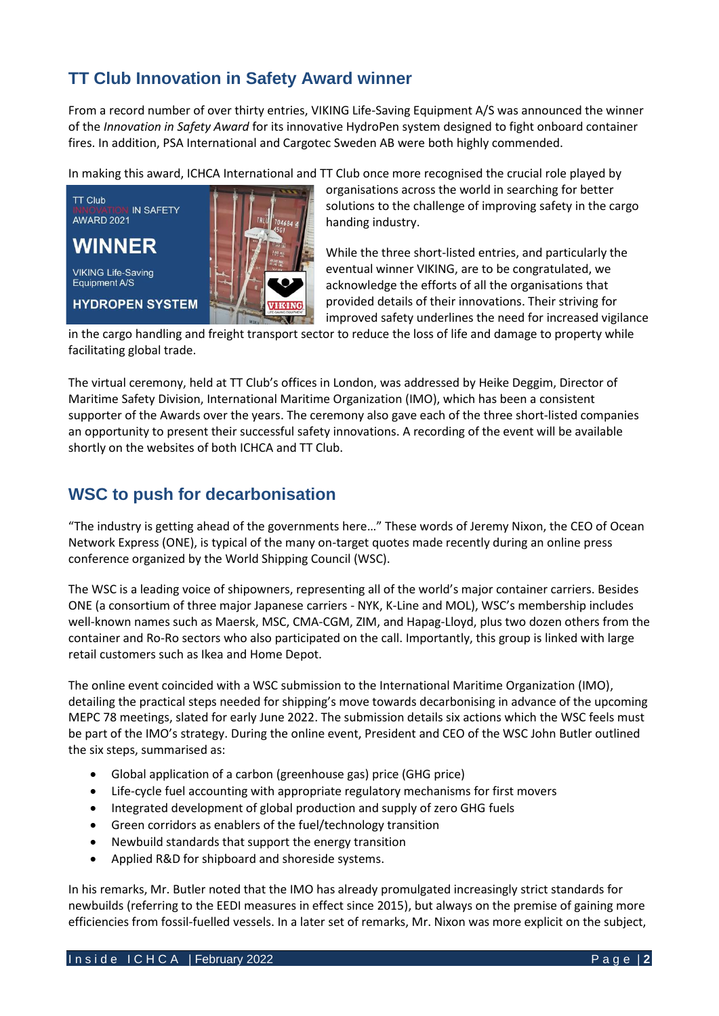# **TT Club Innovation in Safety Award winner**

From a record number of over thirty entries, VIKING Life-Saving Equipment A/S was announced the winner of the *Innovation in Safety Award* for its innovative HydroPen system designed to fight onboard container fires. In addition, PSA International and Cargotec Sweden AB were both highly commended.

In making this award, ICHCA International and TT Club once more recognised the crucial role played by



organisations across the world in searching for better solutions to the challenge of improving safety in the cargo handing industry.

While the three short-listed entries, and particularly the eventual winner VIKING, are to be congratulated, we acknowledge the efforts of all the organisations that provided details of their innovations. Their striving for improved safety underlines the need for increased vigilance

in the cargo handling and freight transport sector to reduce the loss of life and damage to property while facilitating global trade.

The virtual ceremony, held at TT Club's offices in London, was addressed by Heike Deggim, Director of Maritime Safety Division, International Maritime Organization (IMO), which has been a consistent supporter of the Awards over the years. The ceremony also gave each of the three short-listed companies an opportunity to present their successful safety innovations. A recording of the event will be available shortly on the websites of both ICHCA and TT Club.

### **WSC to push for decarbonisation**

"The industry is getting ahead of the governments here…" These words of Jeremy Nixon, the CEO of Ocean Network Express (ONE), is typical of the many on-target quotes made recently during an online press conference organized by the World Shipping Council (WSC).

The WSC is a leading voice of shipowners, representing all of the world's major container carriers. Besides ONE (a consortium of three major Japanese carriers - NYK, K-Line and MOL), WSC's membership includes well-known names such as Maersk, MSC, CMA-CGM, ZIM, and Hapag-Lloyd, plus two dozen others from the container and Ro-Ro sectors who also participated on the call. Importantly, this group is linked with large retail customers such as Ikea and Home Depot.

The online event coincided with a WSC submission to the International Maritime Organization (IMO), detailing the practical steps needed for shipping's move towards decarbonising in advance of the upcoming MEPC 78 meetings, slated for early June 2022. The submission details six actions which the WSC feels must be part of the IMO's strategy. During the online event, President and CEO of the WSC John Butler outlined the six steps, summarised as:

- Global application of a carbon (greenhouse gas) price (GHG price)
- Life-cycle fuel accounting with appropriate regulatory mechanisms for first movers
- Integrated development of global production and supply of zero GHG fuels
- Green corridors as enablers of the fuel/technology transition
- Newbuild standards that support the energy transition
- Applied R&D for shipboard and shoreside systems.

In his remarks, Mr. Butler noted that the IMO has already promulgated increasingly strict standards for newbuilds (referring to the EEDI measures in effect since 2015), but always on the premise of gaining more efficiencies from fossil-fuelled vessels. In a later set of remarks, Mr. Nixon was more explicit on the subject,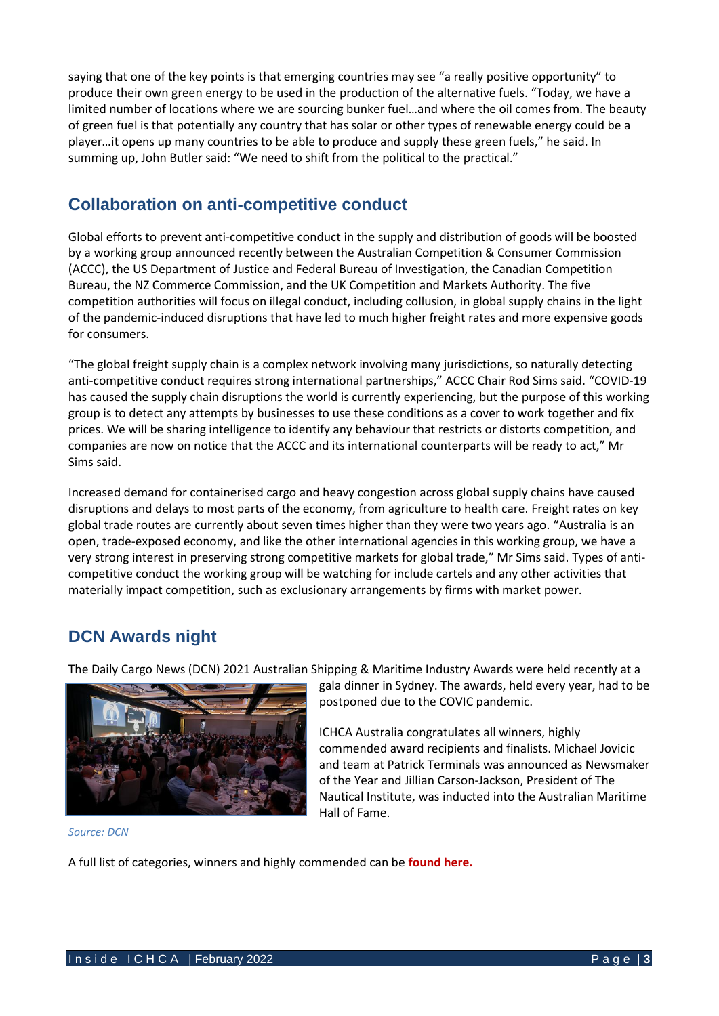saying that one of the key points is that emerging countries may see "a really positive opportunity" to produce their own green energy to be used in the production of the alternative fuels. "Today, we have a limited number of locations where we are sourcing bunker fuel…and where the oil comes from. The beauty of green fuel is that potentially any country that has solar or other types of renewable energy could be a player…it opens up many countries to be able to produce and supply these green fuels," he said. In summing up, John Butler said: "We need to shift from the political to the practical."

### **Collaboration on anti-competitive conduct**

Global efforts to prevent anti-competitive conduct in the supply and distribution of goods will be boosted by a working group announced recently between the Australian Competition & Consumer Commission (ACCC), the US Department of Justice and Federal Bureau of Investigation, the Canadian Competition Bureau, the NZ Commerce Commission, and the UK Competition and Markets Authority. The five competition authorities will focus on illegal conduct, including collusion, in global supply chains in the light of the pandemic-induced disruptions that have led to much higher freight rates and more expensive goods for consumers.

"The global freight supply chain is a complex network involving many jurisdictions, so naturally detecting anti-competitive conduct requires strong international partnerships," ACCC Chair Rod Sims said. "COVID-19 has caused the supply chain disruptions the world is currently experiencing, but the purpose of this working group is to detect any attempts by businesses to use these conditions as a cover to work together and fix prices. We will be sharing intelligence to identify any behaviour that restricts or distorts competition, and companies are now on notice that the ACCC and its international counterparts will be ready to act," Mr Sims said.

Increased demand for containerised cargo and heavy congestion across global supply chains have caused disruptions and delays to most parts of the economy, from agriculture to health care. Freight rates on key global trade routes are currently about seven times higher than they were two years ago. "Australia is an open, trade-exposed economy, and like the other international agencies in this working group, we have a very strong interest in preserving strong competitive markets for global trade," Mr Sims said. Types of anticompetitive conduct the working group will be watching for include cartels and any other activities that materially impact competition, such as exclusionary arrangements by firms with market power.

# **DCN Awards night**

The Daily Cargo News (DCN) 2021 Australian Shipping & Maritime Industry Awards were held recently at a



gala dinner in Sydney. The awards, held every year, had to be postponed due to the COVIC pandemic.

ICHCA Australia congratulates all winners, highly commended award recipients and finalists. Michael Jovicic and team at Patrick Terminals was announced as Newsmaker of the Year and Jillian Carson-Jackson, President of The Nautical Institute, was inducted into the Australian Maritime Hall of Fame.

#### *Source: DCN*

A full list of categories, winners and highly commended can be **[found here.](https://www.thedcn.com.au/region/australia/and-the-winners-are/)**

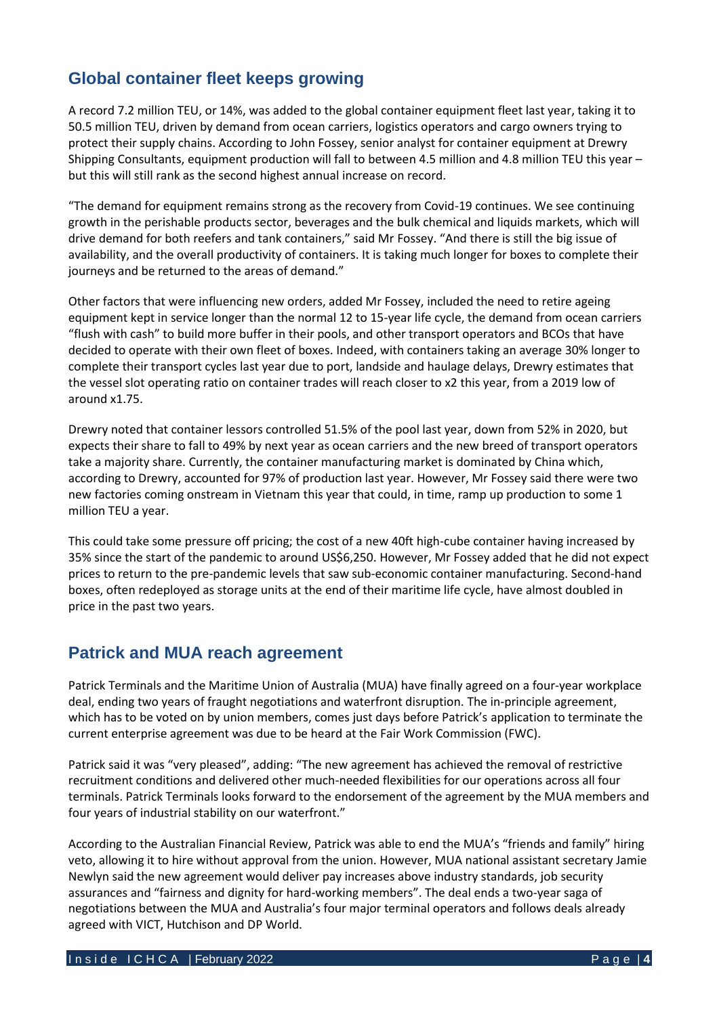# **Global container fleet keeps growing**

A record 7.2 million TEU, or 14%, was added to the global container equipment fleet last year, taking it to 50.5 million TEU, driven by demand from ocean carriers, logistics operators and cargo owners trying to protect their supply chains. According to John Fossey, senior analyst for container equipment at Drewry Shipping Consultants, equipment production will fall to between 4.5 million and 4.8 million TEU this year – but this will still rank as the second highest annual increase on record.

"The demand for equipment remains strong as the recovery from Covid-19 continues. We see continuing growth in the perishable products sector, beverages and the bulk chemical and liquids markets, which will drive demand for both reefers and tank containers," said Mr Fossey. "And there is still the big issue of availability, and the overall productivity of containers. It is taking much longer for boxes to complete their journeys and be returned to the areas of demand."

Other factors that were influencing new orders, added Mr Fossey, included the need to retire ageing equipment kept in service longer than the normal 12 to 15-year life cycle, the demand from ocean carriers "flush with cash" to build more buffer in their pools, and other transport operators and BCOs that have decided to operate with their own fleet of boxes. Indeed, with containers taking an average 30% longer to complete their transport cycles last year due to port, landside and haulage delays, Drewry estimates that the vessel slot operating ratio on container trades will reach closer to x2 this year, from a 2019 low of around x1.75.

Drewry noted that container lessors controlled 51.5% of the pool last year, down from 52% in 2020, but expects their share to fall to 49% by next year as ocean carriers and the new breed of transport operators take a majority share. Currently, the container manufacturing market is dominated by China which, according to Drewry, accounted for 97% of production last year. However, Mr Fossey said there were two new factories coming onstream in Vietnam this year that could, in time, ramp up production to some 1 million TEU a year.

This could take some pressure off pricing; the cost of a new 40ft high-cube container having increased by 35% since the start of the pandemic to around US\$6,250. However, Mr Fossey added that he did not expect prices to return to the pre-pandemic levels that saw sub-economic container manufacturing. Second-hand boxes, often redeployed as storage units at the end of their maritime life cycle, have almost doubled in price in the past two years.

#### **Patrick and MUA reach agreement**

Patrick Terminals and the Maritime Union of Australia (MUA) have finally agreed on a four-year workplace deal, ending two years of fraught negotiations and waterfront disruption. The in-principle agreement, which has to be voted on by union members, comes just days before Patrick's [application](https://theloadstar.com/australian-dockers-union-halts-strikes-at-patrick-terminals-after-peace-talks) to terminate the current enterprise agreement was due to be heard at the Fair Work Commission (FWC).

Patrick said it was "very pleased", adding: "The new agreement has achieved the removal of restrictive recruitment conditions and delivered other much-needed flexibilities for our operations across all four terminals. Patrick Terminals looks forward to the endorsement of the agreement by the MUA members and four years of industrial stability on our waterfront."

According to the Australian Financial Review, Patrick was able to end the MUA's "friends and family" hiring veto, allowing it to hire without approval from the union. However, MUA national assistant secretary Jamie Newlyn said the new agreement would deliver pay increases above industry standards, job security assurances and "fairness and dignity for hard-working members". The deal ends a two-year saga of negotiations between the MUA and Australia's four major terminal operators and follows deals already agreed with VICT, Hutchison and DP World.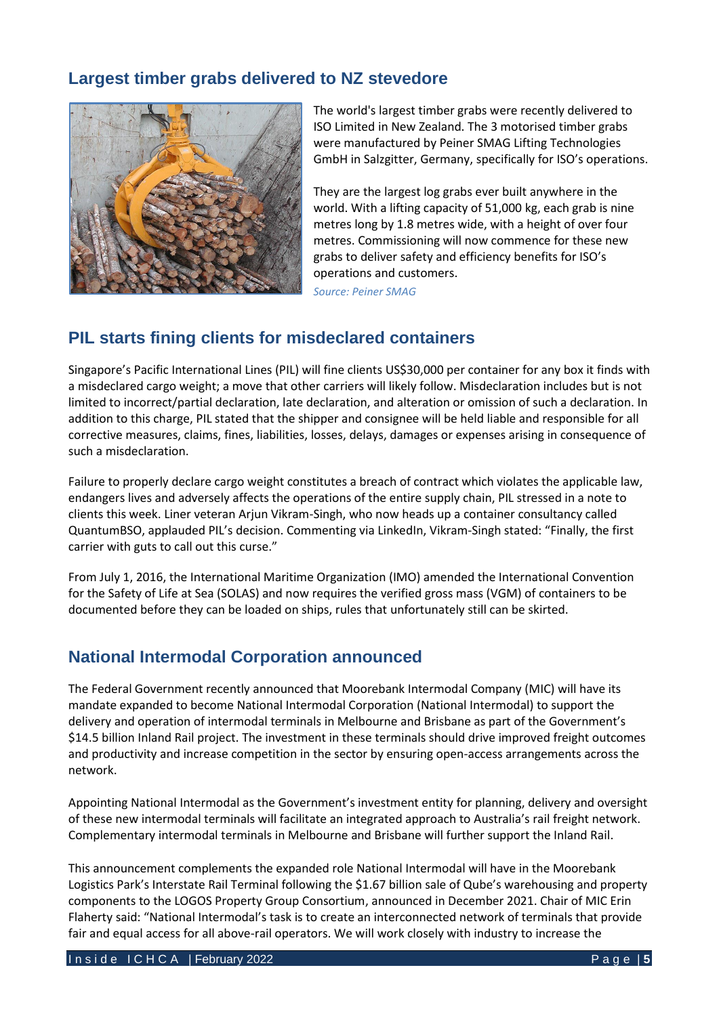## **Largest timber grabs delivered to NZ stevedore**



The world's largest timber grabs were recently delivered to [ISO Limited](https://www.linkedin.com/company/iso-limited/) in New Zealand. The 3 motorised timber grabs were manufactured by [Peiner SMAG Lifting Technologies](https://www.linkedin.com/company/peiner-smag-lifting-technologies-gmbh/)  [GmbH](https://www.linkedin.com/company/peiner-smag-lifting-technologies-gmbh/) in Salzgitter, Germany, specifically for ISO's operations.

They are the largest log grabs ever built anywhere in the world. With a lifting capacity of 51,000 kg, each grab is nine metres long by 1.8 metres wide, with a height of over four metres. Commissioning will now commence for these new grabs to deliver safety and efficiency benefits for ISO's operations and customers.

*Source: Peiner SMAG*

## **PIL starts fining clients for misdeclared containers**

Singapore's Pacific International Lines (PIL) will fine clients US\$30,000 per container for any box it finds with a misdeclared cargo weight; a move that other carriers will likely follow. Misdeclaration includes but is not limited to incorrect/partial declaration, late declaration, and alteration or omission of such a declaration. In addition to this charge, PIL stated that the shipper and consignee will be held liable and responsible for all corrective measures, claims, fines, liabilities, losses, delays, damages or expenses arising in consequence of such a misdeclaration.

Failure to properly declare cargo weight constitutes a breach of contract which violates the applicable law, endangers lives and adversely affects the operations of the entire supply chain, PIL stressed in a note to clients this week. Liner veteran Arjun Vikram-Singh, who now heads up a container consultancy called QuantumBSO, applauded PIL's decision. Commenting via LinkedIn, Vikram-Singh stated: "Finally, the first carrier with guts to call out this curse."

From July 1, 2016, the International Maritime Organization (IMO) amended the International Convention for the Safety of Life at Sea (SOLAS) and now requires the verified gross mass (VGM) of containers to be documented before they can be loaded on ships, rules that unfortunately still can be skirted.

## **National Intermodal Corporation announced**

The Federal Government recently announced that Moorebank Intermodal Company (MIC) will have its mandate expanded to become National Intermodal Corporation (National Intermodal) to support the delivery and operation of intermodal terminals in Melbourne and Brisbane as part of the Government's \$14.5 billion Inland Rail project. The investment in these terminals should drive improved freight outcomes and productivity and increase competition in the sector by ensuring open-access arrangements across the network.

Appointing National Intermodal as the Government's investment entity for planning, delivery and oversight of these new intermodal terminals will facilitate an integrated approach to Australia's rail freight network. Complementary intermodal terminals in Melbourne and Brisbane will further support the Inland Rail.

This announcement complements the expanded role National Intermodal will have in the Moorebank Logistics Park's Interstate Rail Terminal following the \$1.67 billion sale of Qube's warehousing and property components to the LOGOS Property Group Consortium, announced in December 2021. Chair of MIC Erin Flaherty said: "National Intermodal's task is to create an interconnected network of terminals that provide fair and equal access for all above-rail operators. We will work closely with industry to increase the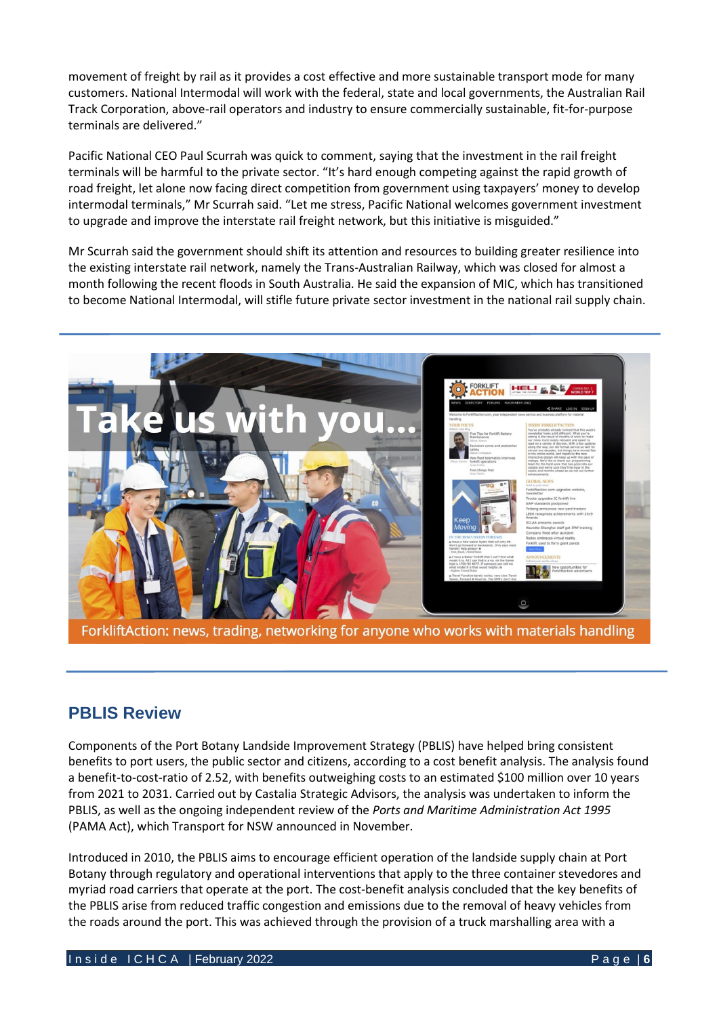movement of freight by rail as it provides a cost effective and more sustainable transport mode for many customers. National Intermodal will work with the federal, state and local governments, the Australian Rail Track Corporation, above-rail operators and industry to ensure commercially sustainable, fit-for-purpose terminals are delivered."

Pacific National CEO Paul Scurrah was quick to comment, saying that the investment in the rail freight terminals will be harmful to the private sector. "It's hard enough competing against the rapid growth of road freight, let alone now facing direct competition from government using taxpayers' money to develop intermodal terminals," Mr Scurrah said. "Let me stress, Pacific National welcomes government investment to upgrade and improve the interstate rail freight network, but this initiative is misguided."

Mr Scurrah said the government should shift its attention and resources to building greater resilience into the existing interstate rail network, namely the Trans-Australian Railway, which was closed for almost a month following the recent floods in South Australia. He said the expansion of MIC, which has transitioned to become National Intermodal, will stifle future private sector investment in the national rail supply chain.



ForkliftAction: news, trading, networking for anyone who works with materials handling

## **PBLIS Review**

Components of the Port Botany Landside Improvement Strategy (PBLIS) have helped bring consistent benefits to port users, the public sector and citizens, according to a cost benefit analysis. The analysis found a benefit-to-cost-ratio of 2.52, with benefits outweighing costs to an estimated \$100 million over 10 years from 2021 to 2031. Carried out by Castalia Strategic Advisors, the analysis was undertaken to inform the PBLIS, as well as the ongoing independent review of the *Ports and Maritime Administration Act 1995* (PAMA Act), which Transport for NS[W announced in November.](https://www.thedcn.com.au/news/law-regulation-trade/nsw-announces-independent-review-of-the-ports-and-maritime-administration-act/)

Introduced in 2010, the PBLIS aims to encourage efficient operation of the landside supply chain at Port Botany through regulatory and operational interventions that apply to the three container stevedores and myriad road carriers that operate at the port. The cost-benefit analysis concluded that the key benefits of the PBLIS arise from reduced traffic congestion and emissions due to the removal of heavy vehicles from the roads around the port. This was achieved through the provision of a truck marshalling area with a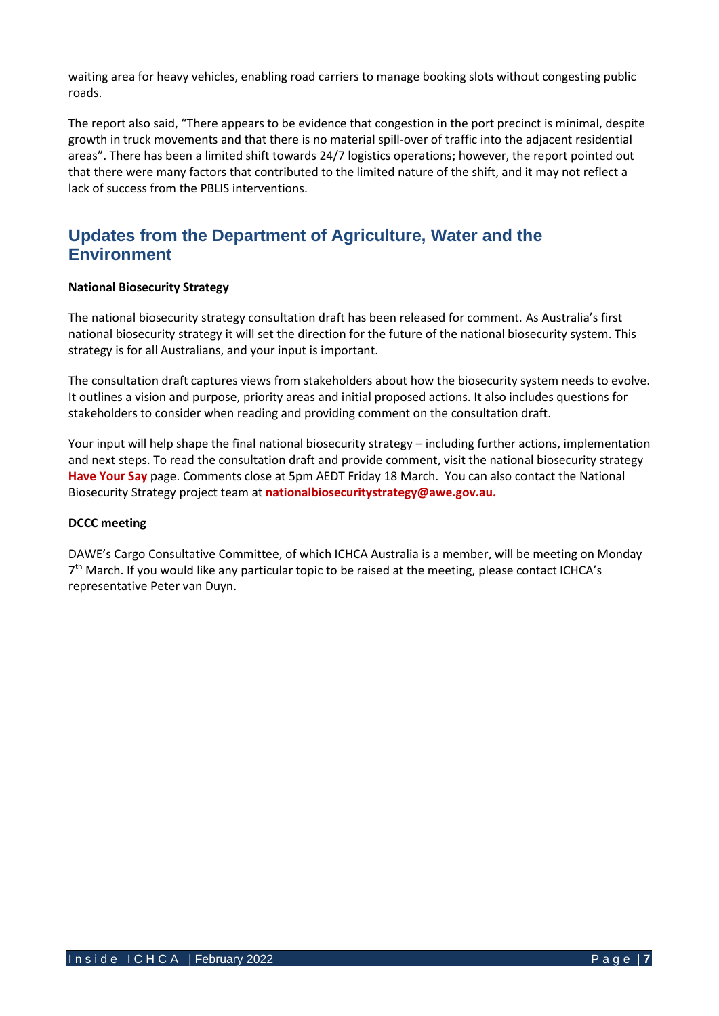waiting area for heavy vehicles, enabling road carriers to manage booking slots without congesting public roads.

The report also said, "There appears to be evidence that congestion in the port precinct is minimal, despite growth in truck movements and that there is no material spill-over of traffic into the adjacent residential areas". There has been a limited shift towards 24/7 logistics operations; however, the report pointed out that there were many factors that contributed to the limited nature of the shift, and it may not reflect a lack of success from the PBLIS interventions.

### **Updates from the Department of Agriculture, Water and the Environment**

#### **National Biosecurity Strategy**

The national biosecurity strategy consultation draft has been released for comment. As Australia's first national biosecurity strategy it will set the direction for the future of the national biosecurity system. This strategy is for all Australians, and your input is important.

The consultation draft captures views from stakeholders about how the biosecurity system needs to evolve. It outlines a vision and purpose, priority areas and initial proposed actions. It also includes questions for stakeholders to consider when reading and providing comment on the consultation draft.

Your input will help shape the final national biosecurity strategy – including further actions, implementation and next steps. To read the consultation draft and provide comment, visit the national biosecurity strategy **[Have Your Say](https://haveyoursay.awe.gov.au/national-biosecurity-strategy)** page. Comments close at 5pm AEDT Friday 18 March. You can also contact the National Biosecurity Strategy project team at **[nationalbiosecuritystrategy@awe.gov.au.](mailto:nationalbiosecuritystrategy@awe.gov.au)**

#### **DCCC meeting**

DAWE's Cargo Consultative Committee, of which ICHCA Australia is a member, will be meeting on Monday 7<sup>th</sup> March. If you would like any particular topic to be raised at the meeting, please contact ICHCA's representative Peter van Duyn.